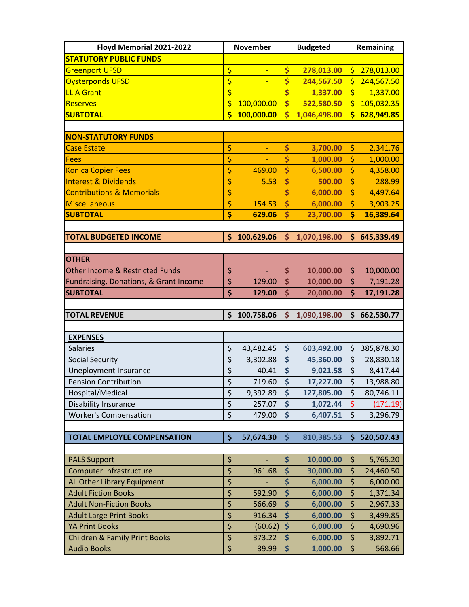| Floyd Memorial 2021-2022                                       |                                 | <b>November</b> |                         | <b>Budgeted</b>      |                         | Remaining          |  |
|----------------------------------------------------------------|---------------------------------|-----------------|-------------------------|----------------------|-------------------------|--------------------|--|
| <b>STATUTORY PUBLIC FUNDS</b>                                  |                                 |                 |                         |                      |                         |                    |  |
| <b>Greenport UFSD</b>                                          | \$                              | ÷               | \$                      | 278,013.00           | \$                      | 278,013.00         |  |
| <b>Oysterponds UFSD</b>                                        | \$                              | Ξ               | \$                      | 244,567.50           | \$                      | 244,567.50         |  |
| <b>LLIA Grant</b>                                              | \$                              |                 | \$                      | 1,337.00             | \$                      | 1,337.00           |  |
| <b>Reserves</b>                                                | \$                              | 100,000.00      | \$                      | 522,580.50           | Ś                       | 105,032.35         |  |
| <b>SUBTOTAL</b>                                                | $\overline{\mathsf{s}}$         | 100,000.00      | $\overline{\mathsf{s}}$ | 1,046,498.00         | $\overline{\mathsf{s}}$ | 628,949.85         |  |
|                                                                |                                 |                 |                         |                      |                         |                    |  |
| <b>NON-STATUTORY FUNDS</b>                                     |                                 |                 |                         |                      |                         |                    |  |
| <b>Case Estate</b>                                             | \$                              |                 | \$                      | 3,700.00             | \$                      | 2,341.76           |  |
| <b>Fees</b>                                                    | \$                              |                 | \$                      | 1,000.00             | \$                      | 1,000.00           |  |
| <b>Konica Copier Fees</b>                                      | \$                              | 469.00          | \$                      | 6,500.00             | \$                      | 4,358.00           |  |
| <b>Interest &amp; Dividends</b>                                | \$                              | 5.53            | \$                      | 500.00               | \$                      | 288.99             |  |
| <b>Contributions &amp; Memorials</b>                           | \$                              |                 | \$                      | 6,000.00             | \$                      | 4,497.64           |  |
| <b>Miscellaneous</b>                                           | \$                              | 154.53          | \$                      | 6,000.00             | \$                      | 3,903.25           |  |
| <b>SUBTOTAL</b>                                                | \$                              | 629.06          | \$                      | 23,700.00            | \$                      | 16,389.64          |  |
|                                                                |                                 |                 |                         |                      |                         |                    |  |
| <b>TOTAL BUDGETED INCOME</b>                                   | \$                              | 100,629.06      | \$                      | 1,070,198.00         | \$                      | 645,339.49         |  |
|                                                                |                                 |                 |                         |                      |                         |                    |  |
| <b>OTHER</b>                                                   |                                 |                 |                         |                      |                         |                    |  |
| <b>Other Income &amp; Restricted Funds</b>                     | \$                              |                 | \$                      | 10,000.00            | \$                      | 10,000.00          |  |
| Fundraising, Donations, & Grant Income                         | \$                              | 129.00          | \$                      | 10,000.00            | \$                      | 7,191.28           |  |
| <b>SUBTOTAL</b>                                                | \$                              | 129.00          | \$                      | 20,000.00            | \$                      | 17,191.28          |  |
|                                                                |                                 |                 |                         |                      |                         |                    |  |
|                                                                |                                 |                 |                         |                      |                         |                    |  |
| <b>TOTAL REVENUE</b>                                           | \$                              | 100,758.06      | \$                      | 1,090,198.00         | \$                      | 662,530.77         |  |
|                                                                |                                 |                 |                         |                      |                         |                    |  |
| <b>EXPENSES</b>                                                |                                 |                 |                         |                      |                         |                    |  |
| Salaries                                                       | \$                              | 43,482.45       | $\ddot{\bm{\zeta}}$     | 603,492.00           | \$                      | 385,878.30         |  |
| <b>Social Security</b>                                         | $\overline{\xi}$                | 3,302.88        | \$                      | 45,360.00            | \$                      | 28,830.18          |  |
| <b>Uneployment Insurance</b>                                   | \$                              | 40.41           | \$                      | 9,021.58             | \$                      | 8,417.44           |  |
| <b>Pension Contribution</b>                                    | \$                              | 719.60          | \$                      | 17,227.00            | \$                      | 13,988.80          |  |
| Hospital/Medical                                               | \$                              | 9,392.89        | \$                      | 127,805.00           | \$                      | 80,746.11          |  |
| Disability Insurance                                           | $\overline{\xi}$                | 257.07          | \$                      | 1,072.44             | \$                      | (171.19)           |  |
| <b>Worker's Compensation</b>                                   | \$                              | 479.00          | \$                      | 6,407.51             | \$                      | 3,296.79           |  |
|                                                                |                                 |                 |                         |                      |                         |                    |  |
| <b>TOTAL EMPLOYEE COMPENSATION</b>                             | \$                              | 57,674.30       | \$                      | 810,385.53           | \$                      | 520,507.43         |  |
|                                                                |                                 |                 |                         |                      |                         |                    |  |
| <b>PALS Support</b>                                            | \$                              |                 | \$                      | 10,000.00            | $\zeta$                 | 5,765.20           |  |
| <b>Computer Infrastructure</b>                                 | \$                              | 961.68          | \$                      | 30,000.00            | \$                      | 24,460.50          |  |
| All Other Library Equipment                                    | \$                              |                 | \$                      | 6,000.00             | \$                      | 6,000.00           |  |
| <b>Adult Fiction Books</b>                                     | $\overline{\boldsymbol{\zeta}}$ | 592.90          | \$                      | 6,000.00             | $\overline{\xi}$        | 1,371.34           |  |
| <b>Adult Non-Fiction Books</b>                                 | \$                              | 566.69          | \$                      | 6,000.00             | \$                      | 2,967.33           |  |
| <b>Adult Large Print Books</b>                                 | \$                              | 916.34          | \$                      | 6,000.00             | \$                      | 3,499.85           |  |
| <b>YA Print Books</b>                                          | \$                              | (60.62)         | \$                      | 6,000.00             | \$                      | 4,690.96           |  |
| <b>Children &amp; Family Print Books</b><br><b>Audio Books</b> | \$<br>\$                        | 373.22<br>39.99 | \$<br>\$                | 6,000.00<br>1,000.00 | \$<br>\$                | 3,892.71<br>568.66 |  |